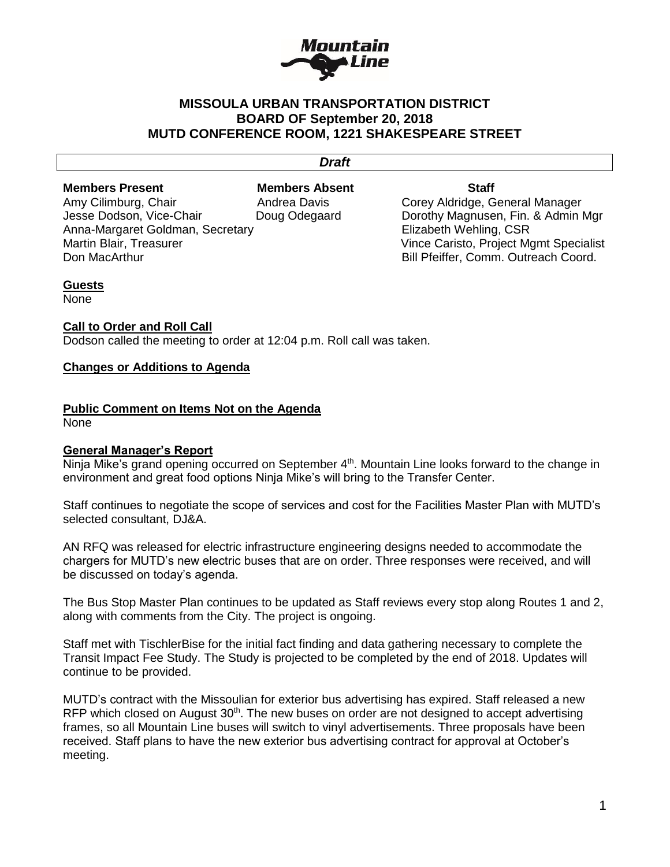

# **MISSOULA URBAN TRANSPORTATION DISTRICT BOARD OF September 20, 2018 MUTD CONFERENCE ROOM, 1221 SHAKESPEARE STREET**

## *Draft*

**Members Present Members Absent Staff** Amy Cilimburg, Chair **Andrea Davis** Corey Aldridge, General Manager Jesse Dodson, Vice-Chair Doug Odegaard Dorothy Magnusen, Fin. & Admin Mgr Anna-Margaret Goldman, Secretary **Elizabeth Wehling, CSR** Martin Blair, Treasurer Vince Caristo, Project Mgmt Specialist Don MacArthur **Bill Pfeiffer, Comm. Outreach Coord.** Bill Pfeiffer, Comm. Outreach Coord.

### **Guests**

None

#### **Call to Order and Roll Call**

Dodson called the meeting to order at 12:04 p.m. Roll call was taken.

## **Changes or Additions to Agenda**

#### **Public Comment on Items Not on the Agenda**

None

### **General Manager's Report**

Ninja Mike's grand opening occurred on September 4<sup>th</sup>. Mountain Line looks forward to the change in environment and great food options Ninja Mike's will bring to the Transfer Center.

Staff continues to negotiate the scope of services and cost for the Facilities Master Plan with MUTD's selected consultant, DJ&A.

AN RFQ was released for electric infrastructure engineering designs needed to accommodate the chargers for MUTD's new electric buses that are on order. Three responses were received, and will be discussed on today's agenda.

The Bus Stop Master Plan continues to be updated as Staff reviews every stop along Routes 1 and 2, along with comments from the City. The project is ongoing.

Staff met with TischlerBise for the initial fact finding and data gathering necessary to complete the Transit Impact Fee Study. The Study is projected to be completed by the end of 2018. Updates will continue to be provided.

MUTD's contract with the Missoulian for exterior bus advertising has expired. Staff released a new RFP which closed on August  $30<sup>th</sup>$ . The new buses on order are not designed to accept advertising frames, so all Mountain Line buses will switch to vinyl advertisements. Three proposals have been received. Staff plans to have the new exterior bus advertising contract for approval at October's meeting.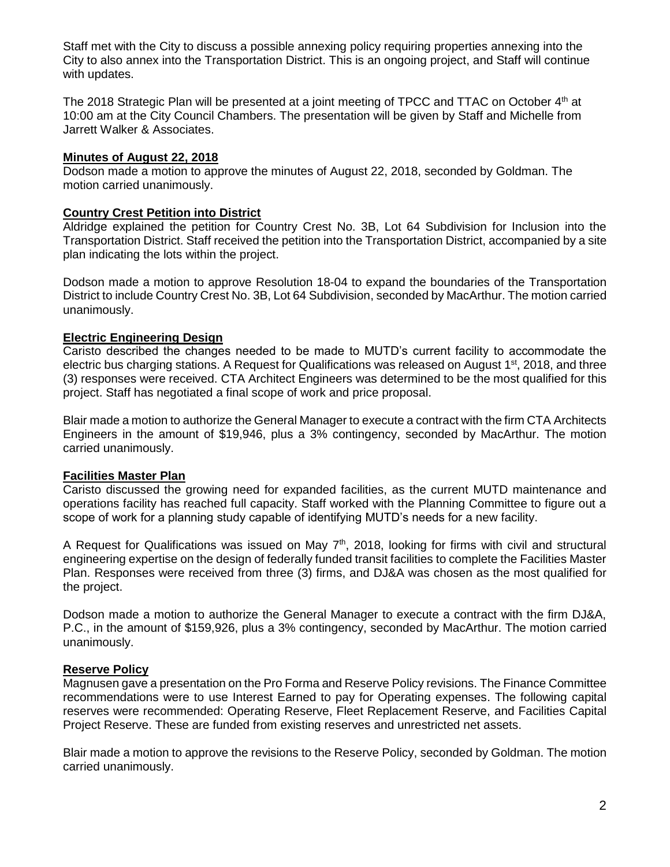Staff met with the City to discuss a possible annexing policy requiring properties annexing into the City to also annex into the Transportation District. This is an ongoing project, and Staff will continue with updates.

The 2018 Strategic Plan will be presented at a joint meeting of TPCC and TTAC on October 4th at 10:00 am at the City Council Chambers. The presentation will be given by Staff and Michelle from Jarrett Walker & Associates.

## **Minutes of August 22, 2018**

Dodson made a motion to approve the minutes of August 22, 2018, seconded by Goldman. The motion carried unanimously.

## **Country Crest Petition into District**

Aldridge explained the petition for Country Crest No. 3B, Lot 64 Subdivision for Inclusion into the Transportation District. Staff received the petition into the Transportation District, accompanied by a site plan indicating the lots within the project.

Dodson made a motion to approve Resolution 18-04 to expand the boundaries of the Transportation District to include Country Crest No. 3B, Lot 64 Subdivision, seconded by MacArthur. The motion carried unanimously.

## **Electric Engineering Design**

Caristo described the changes needed to be made to MUTD's current facility to accommodate the electric bus charging stations. A Request for Qualifications was released on August  $1<sup>st</sup>$ , 2018, and three (3) responses were received. CTA Architect Engineers was determined to be the most qualified for this project. Staff has negotiated a final scope of work and price proposal.

Blair made a motion to authorize the General Manager to execute a contract with the firm CTA Architects Engineers in the amount of \$19,946, plus a 3% contingency, seconded by MacArthur. The motion carried unanimously.

### **Facilities Master Plan**

Caristo discussed the growing need for expanded facilities, as the current MUTD maintenance and operations facility has reached full capacity. Staff worked with the Planning Committee to figure out a scope of work for a planning study capable of identifying MUTD's needs for a new facility.

A Request for Qualifications was issued on May  $7<sup>th</sup>$ , 2018, looking for firms with civil and structural engineering expertise on the design of federally funded transit facilities to complete the Facilities Master Plan. Responses were received from three (3) firms, and DJ&A was chosen as the most qualified for the project.

Dodson made a motion to authorize the General Manager to execute a contract with the firm DJ&A, P.C., in the amount of \$159,926, plus a 3% contingency, seconded by MacArthur. The motion carried unanimously.

# **Reserve Policy**

Magnusen gave a presentation on the Pro Forma and Reserve Policy revisions. The Finance Committee recommendations were to use Interest Earned to pay for Operating expenses. The following capital reserves were recommended: Operating Reserve, Fleet Replacement Reserve, and Facilities Capital Project Reserve. These are funded from existing reserves and unrestricted net assets.

Blair made a motion to approve the revisions to the Reserve Policy, seconded by Goldman. The motion carried unanimously.